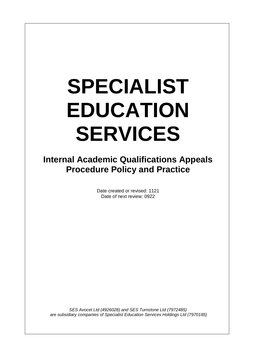## **SPECIALIST EDUCATION SERVICES**

**Internal Academic Qualifications Appeals Procedure Policy and Practice**

> Date created or revised: 1121 Date of next review: 0922

*SES Avocet Ltd (4926028) and SES Turnstone Ltd (7972485) are subsidiary companies of Specialist Education Services Holdings Ltd (7970185)*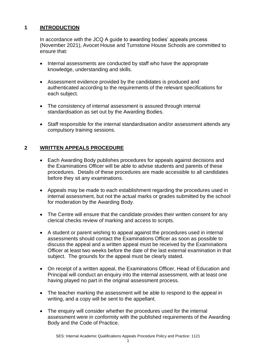## **1 INTRODUCTION**

In accordance with the JCQ A guide to awarding bodies' appeals process (November 2021), Avocet House and Turnstone House Schools are committed to ensure that:

- Internal assessments are conducted by staff who have the appropriate knowledge, understanding and skills.
- Assessment evidence provided by the candidates is produced and authenticated according to the requirements of the relevant specifications for each subject.
- The consistency of internal assessment is assured through internal standardisation as set out by the Awarding Bodies.
- Staff responsible for the internal standardisation and/or assessment attends any compulsory training sessions.

## **2 WRITTEN APPEALS PROCEDURE**

- Each Awarding Body publishes procedures for appeals against decisions and the Examinations Officer will be able to advise students and parents of these procedures. Details of these procedures are made accessible to all candidates before they sit any examinations.
- Appeals may be made to each establishment regarding the procedures used in internal assessment, but not the actual marks or grades submitted by the school for moderation by the Awarding Body.
- The Centre will ensure that the candidate provides their written consent for any clerical checks review of marking and access to scripts.
- A student or parent wishing to appeal against the procedures used in internal assessments should contact the Examinations Officer as soon as possible to discuss the appeal and a written appeal must be received by the Examinations Officer at least two weeks before the date of the last external examination in that subject. The grounds for the appeal must be clearly stated.
- On receipt of a written appeal, the Examinations Officer, Head of Education and Principal will conduct an enquiry into the internal assessment, with at least one having played no part in the original assessment process.
- The teacher marking the assessment will be able to respond to the appeal in writing, and a copy will be sent to the appellant.
- The enquiry will consider whether the procedures used for the internal assessment were in conformity with the published requirements of the Awarding Body and the Code of Practice.